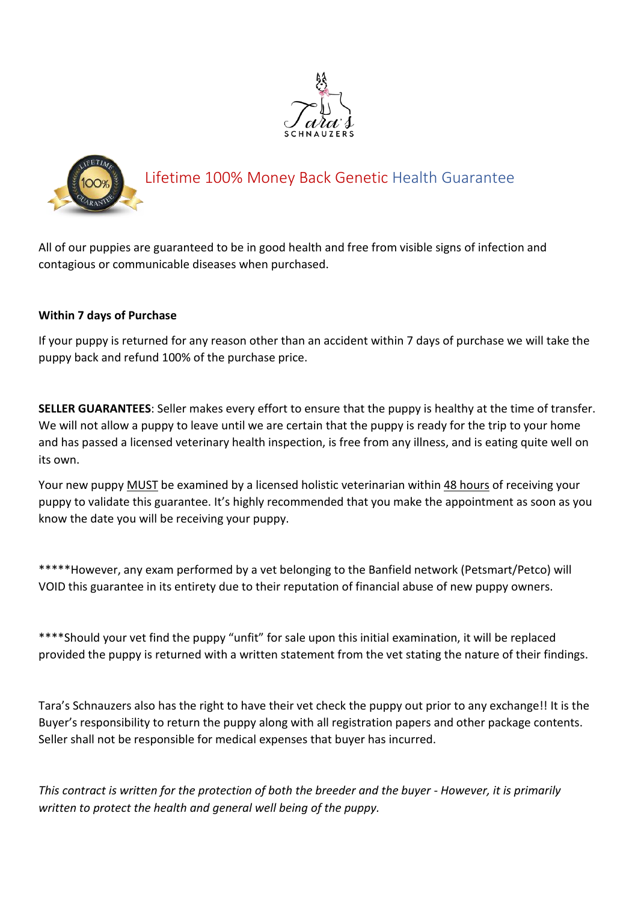



## Lifetime 100% Money Back Genetic Health Guarantee

All of our puppies are guaranteed to be in good health and free from visible signs of infection and contagious or communicable diseases when purchased.

## **Within 7 days of Purchase**

If your puppy is returned for any reason other than an accident within 7 days of purchase we will take the puppy back and refund 100% of the purchase price.

**SELLER GUARANTEES**: Seller makes every effort to ensure that the puppy is healthy at the time of transfer. We will not allow a puppy to leave until we are certain that the puppy is ready for the trip to your home and has passed a licensed veterinary health inspection, is free from any illness, and is eating quite well on its own.

Your new puppy MUST be examined by a licensed holistic veterinarian within 48 hours of receiving your puppy to validate this guarantee. It's highly recommended that you make the appointment as soon as you know the date you will be receiving your puppy.

\*\*\*\*\*However, any exam performed by a vet belonging to the Banfield network (Petsmart/Petco) will VOID this guarantee in its entirety due to their reputation of financial abuse of new puppy owners.

\*\*\*\*Should your vet find the puppy "unfit" for sale upon this initial examination, it will be replaced provided the puppy is returned with a written statement from the vet stating the nature of their findings.

Tara's Schnauzers also has the right to have their vet check the puppy out prior to any exchange!! It is the Buyer's responsibility to return the puppy along with all registration papers and other package contents. Seller shall not be responsible for medical expenses that buyer has incurred.

This contract is written for the protection of both the breeder and the buyer - However, it is primarily *written to protect the health and general well being of the puppy.*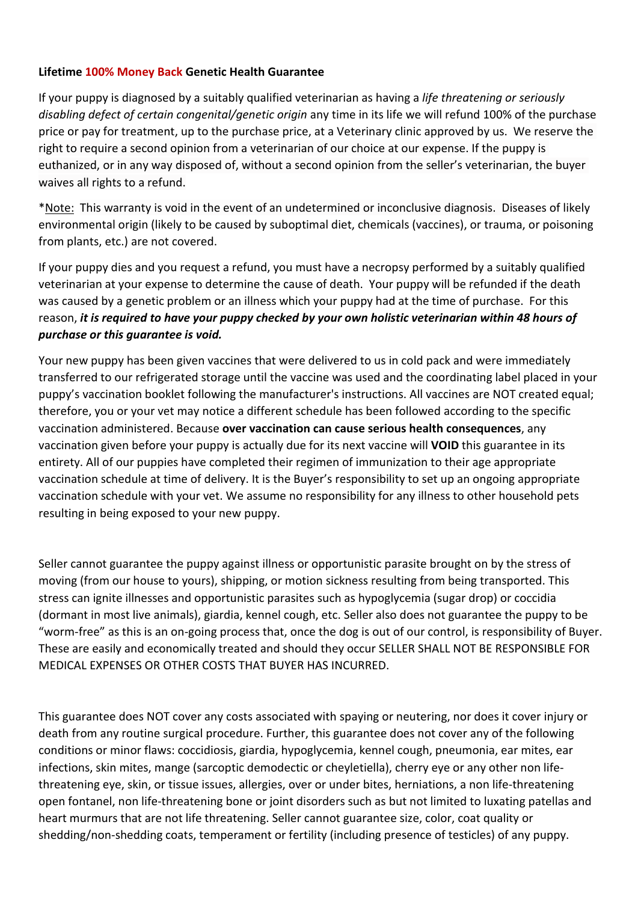## **Lifetime 100% Money Back Genetic Health Guarantee**

If your puppy is diagnosed by a suitably qualified veterinarian as having a *life threatening or seriously disabling defect of certain congenital/genetic origin* any time in its life we will refund 100% of the purchase price or pay for treatment, up to the purchase price, at a Veterinary clinic approved by us. We reserve the right to require a second opinion from a veterinarian of our choice at our expense. If the puppy is euthanized, or in any way disposed of, without a second opinion from the seller's veterinarian, the buyer waives all rights to a refund.

\*Note: This warranty is void in the event of an undetermined or inconclusive diagnosis. Diseases of likely environmental origin (likely to be caused by suboptimal diet, chemicals (vaccines), or trauma, or poisoning from plants, etc.) are not covered.

If your puppy dies and you request a refund, you must have a necropsy performed by a suitably qualified veterinarian at your expense to determine the cause of death. Your puppy will be refunded if the death was caused by a genetic problem or an illness which your puppy had at the time of purchase. For this reason, *it is required to have your puppy checked by yourown holistic veterinarian within 48 hours of purchase or this guarantee is void.*

Your new puppy has been given vaccines that were delivered to us in cold pack and were immediately transferred to our refrigerated storage until the vaccine was used and the coordinating label placed in your puppy's vaccination booklet following the manufacturer's instructions. All vaccines are NOT created equal; therefore, you or your vet may notice a different schedule has been followed according to the specific vaccination administered. Because **over vaccination can cause serious health consequences**, any vaccination given before your puppy is actually due for its next vaccine will **VOID** this guarantee in its entirety. All of our puppies have completed their regimen of immunization to their age appropriate vaccination schedule at time of delivery. It is the Buyer's responsibility to set up an ongoing appropriate vaccination schedule with your vet.We assume no responsibility for any illness to other household pets resulting in being exposed to your new puppy.

Seller cannot guarantee the puppy against illness or opportunistic parasite brought on by the stress of moving (from our house to yours), shipping, or motion sickness resulting from being transported. This stress can ignite illnesses and opportunistic parasites such as hypoglycemia (sugar drop) or coccidia (dormant in most live animals), giardia, kennel cough, etc. Seller also does not guarantee the puppy to be "worm-free" as this is an on-going process that, once the dog is out of our control, is responsibility of Buyer. These are easily and economically treated and should they occur SELLER SHALL NOT BE RESPONSIBLE FOR MEDICAL EXPENSES OR OTHER COSTS THAT BUYER HAS INCURRED.

This guarantee does NOT cover any costs associated with spaying or neutering, nor does it cover injury or death from any routine surgical procedure. Further, this guarantee does not cover any of the following conditions or minor flaws: coccidiosis, giardia, hypoglycemia, kennel cough, pneumonia, ear mites, ear infections, skin mites, mange (sarcoptic demodectic or cheyletiella), cherry eye or any other non life threatening eye, skin, or tissue issues, allergies, over or under bites, herniations, a non life-threatening open fontanel, non life-threatening bone or joint disorders such as but not limited to luxating patellas and heart murmurs that are not life threatening. Seller cannot guarantee size, color, coat quality or shedding/non-shedding coats, temperament or fertility (including presence of testicles) of any puppy.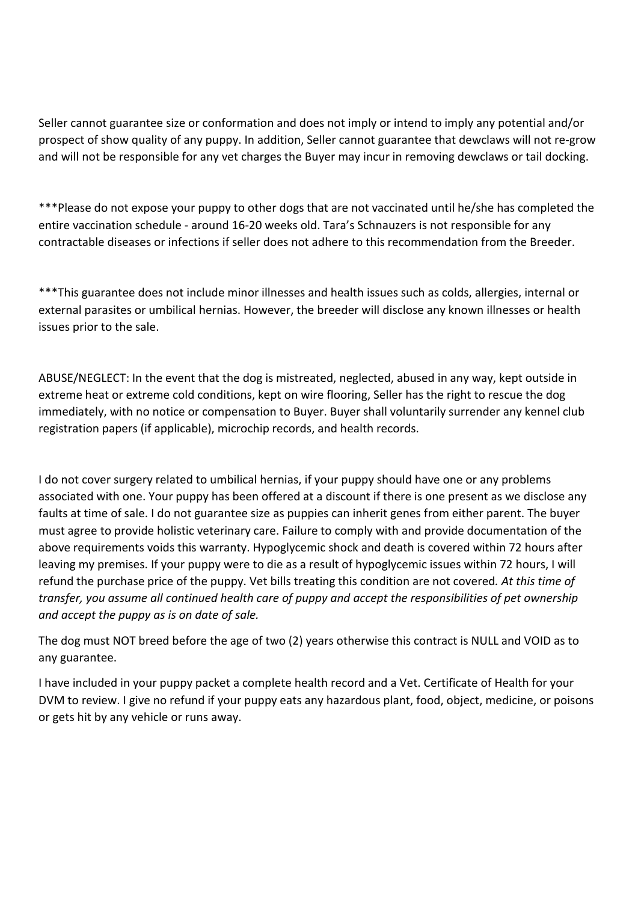Seller cannot guarantee size or conformation and does not imply or intend to imply any potential and/or prospect of show quality of any puppy.In addition, Seller cannot guarantee that dewclaws will not re-grow and will not be responsible for any vet charges the Buyer may incur in removing dewclaws or tail docking.

\*\*\*Please do not expose your puppy to other dogs that are not vaccinated until he/she has completed the entire vaccination schedule - around 16-20 weeks old. Tara's Schnauzers is not responsible for any contractable diseases or infections if seller does not adhere to this recommendation from the Breeder.

\*\*\*This guarantee does not include minor illnesses and health issues such as colds, allergies, internal or external parasites or umbilical hernias. However, the breeder will disclose any known illnesses or health issues prior to the sale.

ABUSE/NEGLECT: In the event that the dog is mistreated, neglected, abused in any way, kept outside in extreme heat or extreme cold conditions, kept on wire flooring, Seller has the right to rescue the dog immediately, with no notice or compensation to Buyer. Buyer shall voluntarily surrender any kennel club registration papers (if applicable), microchip records, and health records.

I do not cover surgery related to umbilical hernias, if your puppy should have one or any problems associated with one. Your puppy has been offered at a discount if there is one present as we disclose any faults at time of sale. I do not guarantee size as puppies can inherit genes from either parent. The buyer must agree to provide holistic veterinary care. Failure to comply with and provide documentation of the above requirements voids this warranty. Hypoglycemic shock and death is covered within 72 hours after leaving my premises. If your puppy were to die as a result of hypoglycemic issues within 72 hours, I will refund the purchase price of the puppy. Vet bills treating this condition are not covered*. At this time of transfer, you assume all continued health care of puppy and accept the responsibilities of pet ownership and accept the puppy asis on date of sale.*

The dog must NOT breed before the age of two (2) years otherwise this contract is NULL and VOID as to any guarantee.

I have included in your puppy packet a complete health record and a Vet. Certificate of Health for your DVM to review. I give no refund if your puppy eats any hazardous plant, food, object, medicine, or poisons or gets hit by any vehicle or runs away.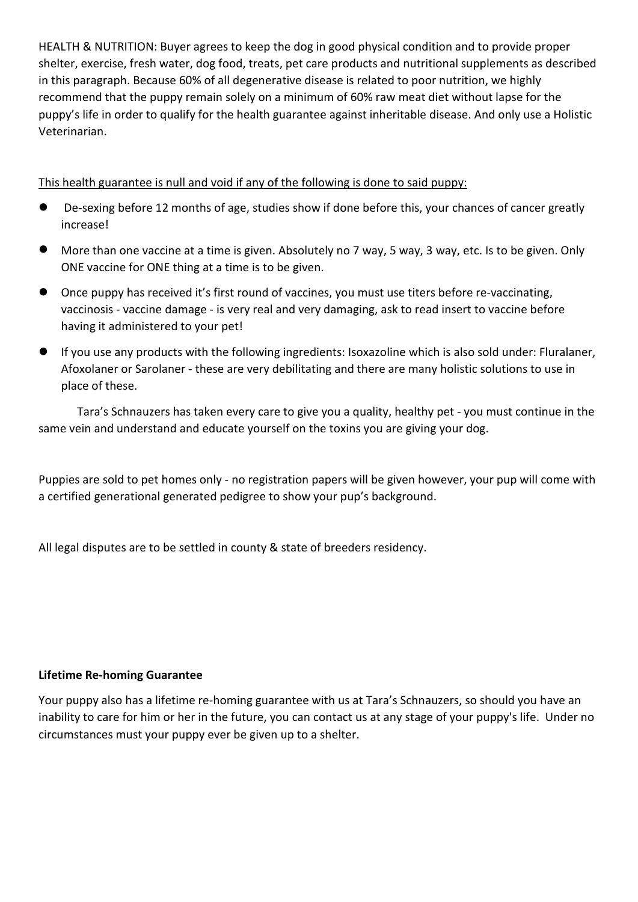HEALTH & NUTRITION: Buyer agrees to keep the dog in good physical condition and to provide proper shelter, exercise, fresh water, dog food, treats, pet care products and nutritional supplements as described in this paragraph. Because 60% of all degenerative disease is related to poor nutrition, we highly recommend that the puppy remain solely on a minimum of 60% raw meat diet without lapse for the puppy's life in order to qualify for the health guarantee against inheritable disease. And only use a Holistic Veterinarian.

This health guarantee is null and void if any of the following is done to said puppy:

- De-sexing before 12 months of age, studies show if done before this, your chances of cancer greatly increase!
- More than one vaccine at a time is given. Absolutely no 7 way, 5 way, 3 way, etc. Is to be given. Only ONE vaccine for ONE thing at a time is to be given.
- Once puppy has received it's first round of vaccines, you must use titers before re-vaccinating, vaccinosis - vaccine damage - is very real and very damaging, ask to read insert to vaccine before having it administered to your pet!
- If you use any products with the following ingredients: Isoxazoline which is also sold under: Fluralaner, Afoxolaner or Sarolaner - these are very debilitating and there are many holistic solutions to use in place of these.

Tara's Schnauzers has taken every care to give you a quality, healthy pet - you must continue in the

same vein and understand and educate yourself on the toxins you are giving your dog.<br>Puppies are sold to pet homes only - no registration papers will be given however, your pup will come with a certified generational generated pedigree to show your pup's background.

All legal disputes are to be settled in county & state of breeders residency.

## **Lifetime Re-homing Guarantee**

Your puppy also has a lifetime re-homing guarantee with us at Tara's Schnauzers, so should you have an inability to care for him or her in the future, you can contact us at any stage of your puppy's life. Under no circumstances must your puppy ever be given up to a shelter.